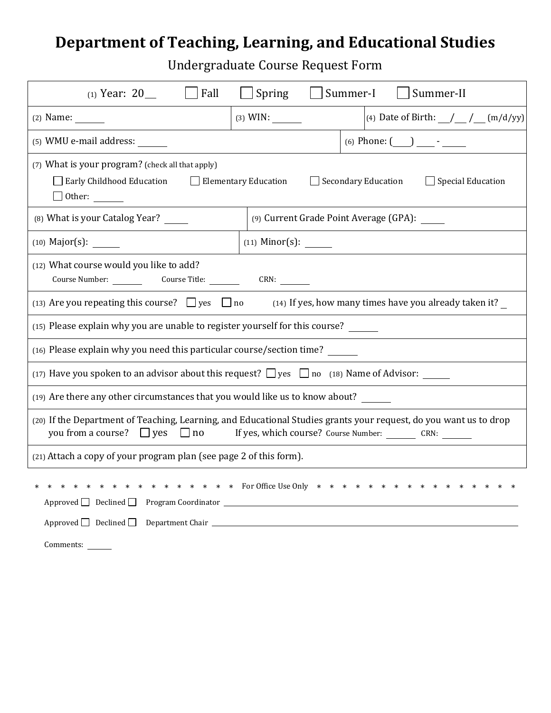## **Department of Teaching, Learning, and Educational Studies**

Undergraduate Course Request Form

| Fall<br>(1) Year: $20$ __                                                                                                                                                                                                                                                                 | $\Box$ Spring<br>Summer-I<br>Summer-II          |  |  |  |
|-------------------------------------------------------------------------------------------------------------------------------------------------------------------------------------------------------------------------------------------------------------------------------------------|-------------------------------------------------|--|--|--|
| $(2)$ Name:                                                                                                                                                                                                                                                                               | (4) Date of Birth: $\_\_\_\_\_\_\_\_\$ (m/d/yy) |  |  |  |
| (5) WMU e-mail address: ______                                                                                                                                                                                                                                                            | (6) Phone: $(\_\_)$ $\_\_$ - $\_\_$             |  |  |  |
| (7) What is your program? (check all that apply)<br>$\Box$ Special Education<br>$\Box$ Early Childhood Education<br>$\Box$ Elementary Education<br>$\Box$ Secondary Education                                                                                                             |                                                 |  |  |  |
| (8) What is your Catalog Year? _____<br>(9) Current Grade Point Average (GPA): _____                                                                                                                                                                                                      |                                                 |  |  |  |
| $(10)$ Major(s): _______                                                                                                                                                                                                                                                                  |                                                 |  |  |  |
| (12) What course would you like to add?<br>Course Number: Course Title: CRN:                                                                                                                                                                                                              |                                                 |  |  |  |
| (13) Are you repeating this course? $\Box$ yes $\Box$ no $\Box$ and $\Box$ if yes, how many times have you already taken it?                                                                                                                                                              |                                                 |  |  |  |
| (15) Please explain why you are unable to register yourself for this course? _____                                                                                                                                                                                                        |                                                 |  |  |  |
| (16) Please explain why you need this particular course/section time?                                                                                                                                                                                                                     |                                                 |  |  |  |
| (17) Have you spoken to an advisor about this request? $\Box$ yes $\Box$ no (18) Name of Advisor:                                                                                                                                                                                         |                                                 |  |  |  |
| (19) Are there any other circumstances that you would like us to know about?                                                                                                                                                                                                              |                                                 |  |  |  |
| (20) If the Department of Teaching, Learning, and Educational Studies grants your request, do you want us to drop                                                                                                                                                                         |                                                 |  |  |  |
| (21) Attach a copy of your program plan (see page 2 of this form).                                                                                                                                                                                                                        |                                                 |  |  |  |
| * * * * * * * * For Office Use Only * * * * *<br>Approved Declined Department Chair <u>Department</u> Chair Department Chair <b>Department Chair</b> 2014 12:00 12:00 12:00 12:00 12:00 12:00 12:00 12:00 12:00 12:00 12:00 12:00 12:00 12:00 12:00 12:00 12:00 12:00 12:00 12:00 12:00 1 |                                                 |  |  |  |

Comments: